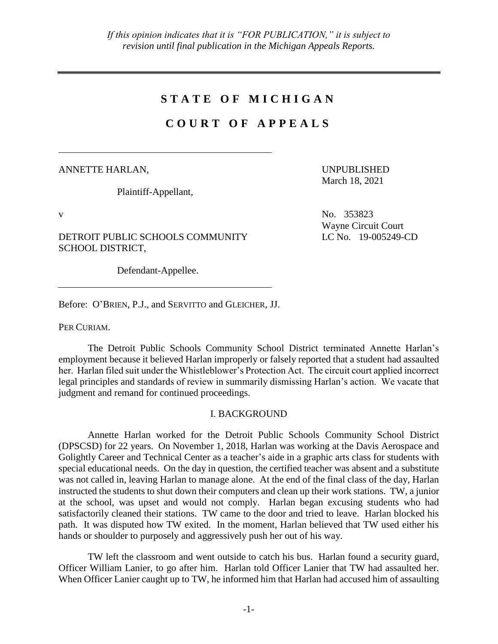# **S T A T E O F M I C H I G A N**

# **C O U R T O F A P P E A L S**

### ANNETTE HARLAN,

Plaintiff-Appellant,

UNPUBLISHED March 18, 2021

DETROIT PUBLIC SCHOOLS COMMUNITY SCHOOL DISTRICT,

Defendant-Appellee.

Before: O'BRIEN, P.J., and SERVITTO and GLEICHER, JJ.

PER CURIAM.

The Detroit Public Schools Community School District terminated Annette Harlan's employment because it believed Harlan improperly or falsely reported that a student had assaulted her. Harlan filed suit under the Whistleblower's Protection Act. The circuit court applied incorrect legal principles and standards of review in summarily dismissing Harlan's action. We vacate that judgment and remand for continued proceedings.

## I. BACKGROUND

Annette Harlan worked for the Detroit Public Schools Community School District (DPSCSD) for 22 years. On November 1, 2018, Harlan was working at the Davis Aerospace and Golightly Career and Technical Center as a teacher's aide in a graphic arts class for students with special educational needs. On the day in question, the certified teacher was absent and a substitute was not called in, leaving Harlan to manage alone. At the end of the final class of the day, Harlan instructed the students to shut down their computers and clean up their work stations. TW, a junior at the school, was upset and would not comply. Harlan began excusing students who had satisfactorily cleaned their stations. TW came to the door and tried to leave. Harlan blocked his path. It was disputed how TW exited. In the moment, Harlan believed that TW used either his hands or shoulder to purposely and aggressively push her out of his way.

TW left the classroom and went outside to catch his bus. Harlan found a security guard, Officer William Lanier, to go after him. Harlan told Officer Lanier that TW had assaulted her. When Officer Lanier caught up to TW, he informed him that Harlan had accused him of assaulting

v No. 353823

Wayne Circuit Court LC No. 19-005249-CD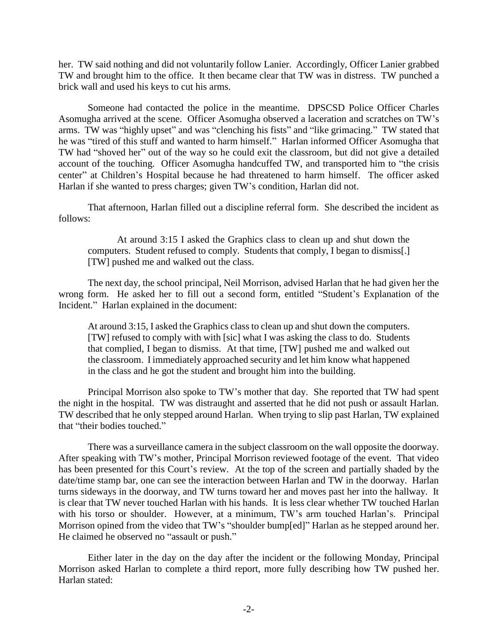her. TW said nothing and did not voluntarily follow Lanier. Accordingly, Officer Lanier grabbed TW and brought him to the office. It then became clear that TW was in distress. TW punched a brick wall and used his keys to cut his arms.

Someone had contacted the police in the meantime. DPSCSD Police Officer Charles Asomugha arrived at the scene. Officer Asomugha observed a laceration and scratches on TW's arms. TW was "highly upset" and was "clenching his fists" and "like grimacing." TW stated that he was "tired of this stuff and wanted to harm himself." Harlan informed Officer Asomugha that TW had "shoved her" out of the way so he could exit the classroom, but did not give a detailed account of the touching. Officer Asomugha handcuffed TW, and transported him to "the crisis center" at Children's Hospital because he had threatened to harm himself. The officer asked Harlan if she wanted to press charges; given TW's condition, Harlan did not.

That afternoon, Harlan filled out a discipline referral form. She described the incident as follows:

At around 3:15 I asked the Graphics class to clean up and shut down the computers. Student refused to comply. Students that comply, I began to dismiss[.] [TW] pushed me and walked out the class.

The next day, the school principal, Neil Morrison, advised Harlan that he had given her the wrong form. He asked her to fill out a second form, entitled "Student's Explanation of the Incident." Harlan explained in the document:

At around 3:15, I asked the Graphics class to clean up and shut down the computers. [TW] refused to comply with with [sic] what I was asking the class to do. Students that complied, I began to dismiss. At that time, [TW] pushed me and walked out the classroom. I immediately approached security and let him know what happened in the class and he got the student and brought him into the building.

Principal Morrison also spoke to TW's mother that day. She reported that TW had spent the night in the hospital. TW was distraught and asserted that he did not push or assault Harlan. TW described that he only stepped around Harlan. When trying to slip past Harlan, TW explained that "their bodies touched."

There was a surveillance camera in the subject classroom on the wall opposite the doorway. After speaking with TW's mother, Principal Morrison reviewed footage of the event. That video has been presented for this Court's review. At the top of the screen and partially shaded by the date/time stamp bar, one can see the interaction between Harlan and TW in the doorway. Harlan turns sideways in the doorway, and TW turns toward her and moves past her into the hallway. It is clear that TW never touched Harlan with his hands. It is less clear whether TW touched Harlan with his torso or shoulder. However, at a minimum, TW's arm touched Harlan's. Principal Morrison opined from the video that TW's "shoulder bump[ed]" Harlan as he stepped around her. He claimed he observed no "assault or push."

Either later in the day on the day after the incident or the following Monday, Principal Morrison asked Harlan to complete a third report, more fully describing how TW pushed her. Harlan stated: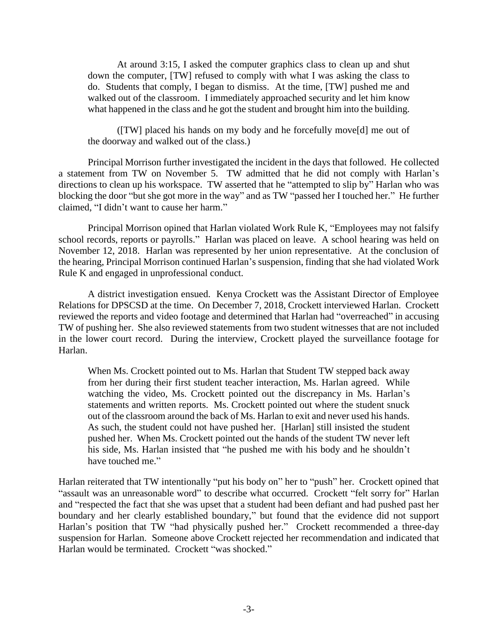At around 3:15, I asked the computer graphics class to clean up and shut down the computer, [TW] refused to comply with what I was asking the class to do. Students that comply, I began to dismiss. At the time, [TW] pushed me and walked out of the classroom. I immediately approached security and let him know what happened in the class and he got the student and brought him into the building.

([TW] placed his hands on my body and he forcefully move[d] me out of the doorway and walked out of the class.)

Principal Morrison further investigated the incident in the days that followed. He collected a statement from TW on November 5. TW admitted that he did not comply with Harlan's directions to clean up his workspace. TW asserted that he "attempted to slip by" Harlan who was blocking the door "but she got more in the way" and as TW "passed her I touched her." He further claimed, "I didn't want to cause her harm."

Principal Morrison opined that Harlan violated Work Rule K, "Employees may not falsify school records, reports or payrolls." Harlan was placed on leave. A school hearing was held on November 12, 2018. Harlan was represented by her union representative. At the conclusion of the hearing, Principal Morrison continued Harlan's suspension, finding that she had violated Work Rule K and engaged in unprofessional conduct.

A district investigation ensued. Kenya Crockett was the Assistant Director of Employee Relations for DPSCSD at the time. On December 7, 2018, Crockett interviewed Harlan. Crockett reviewed the reports and video footage and determined that Harlan had "overreached" in accusing TW of pushing her. She also reviewed statements from two student witnesses that are not included in the lower court record. During the interview, Crockett played the surveillance footage for Harlan.

When Ms. Crockett pointed out to Ms. Harlan that Student TW stepped back away from her during their first student teacher interaction, Ms. Harlan agreed. While watching the video, Ms. Crockett pointed out the discrepancy in Ms. Harlan's statements and written reports. Ms. Crockett pointed out where the student snuck out of the classroom around the back of Ms. Harlan to exit and never used his hands. As such, the student could not have pushed her. [Harlan] still insisted the student pushed her. When Ms. Crockett pointed out the hands of the student TW never left his side, Ms. Harlan insisted that "he pushed me with his body and he shouldn't have touched me."

Harlan reiterated that TW intentionally "put his body on" her to "push" her. Crockett opined that "assault was an unreasonable word" to describe what occurred. Crockett "felt sorry for" Harlan and "respected the fact that she was upset that a student had been defiant and had pushed past her boundary and her clearly established boundary," but found that the evidence did not support Harlan's position that TW "had physically pushed her." Crockett recommended a three-day suspension for Harlan. Someone above Crockett rejected her recommendation and indicated that Harlan would be terminated. Crockett "was shocked."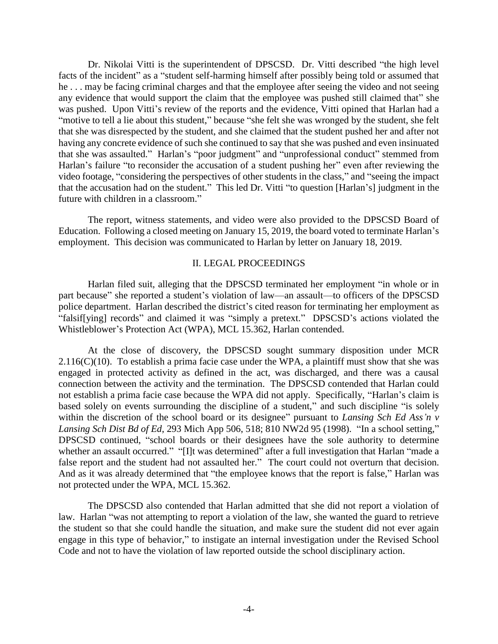Dr. Nikolai Vitti is the superintendent of DPSCSD. Dr. Vitti described "the high level facts of the incident" as a "student self-harming himself after possibly being told or assumed that he . . . may be facing criminal charges and that the employee after seeing the video and not seeing any evidence that would support the claim that the employee was pushed still claimed that" she was pushed. Upon Vitti's review of the reports and the evidence, Vitti opined that Harlan had a "motive to tell a lie about this student," because "she felt she was wronged by the student, she felt that she was disrespected by the student, and she claimed that the student pushed her and after not having any concrete evidence of such she continued to say that she was pushed and even insinuated that she was assaulted." Harlan's "poor judgment" and "unprofessional conduct" stemmed from Harlan's failure "to reconsider the accusation of a student pushing her" even after reviewing the video footage, "considering the perspectives of other students in the class," and "seeing the impact that the accusation had on the student." This led Dr. Vitti "to question [Harlan's] judgment in the future with children in a classroom."

The report, witness statements, and video were also provided to the DPSCSD Board of Education. Following a closed meeting on January 15, 2019, the board voted to terminate Harlan's employment. This decision was communicated to Harlan by letter on January 18, 2019.

### II. LEGAL PROCEEDINGS

Harlan filed suit, alleging that the DPSCSD terminated her employment "in whole or in part because" she reported a student's violation of law—an assault—to officers of the DPSCSD police department. Harlan described the district's cited reason for terminating her employment as "falsif[ying] records" and claimed it was "simply a pretext." DPSCSD's actions violated the Whistleblower's Protection Act (WPA), MCL 15.362, Harlan contended.

At the close of discovery, the DPSCSD sought summary disposition under MCR  $2.116(C)(10)$ . To establish a prima facie case under the WPA, a plaintiff must show that she was engaged in protected activity as defined in the act, was discharged, and there was a causal connection between the activity and the termination. The DPSCSD contended that Harlan could not establish a prima facie case because the WPA did not apply. Specifically, "Harlan's claim is based solely on events surrounding the discipline of a student," and such discipline "is solely within the discretion of the school board or its designee" pursuant to *Lansing Sch Ed Ass'n v Lansing Sch Dist Bd of Ed*, 293 Mich App 506, 518; 810 NW2d 95 (1998). "In a school setting," DPSCSD continued, "school boards or their designees have the sole authority to determine whether an assault occurred." "[I]t was determined" after a full investigation that Harlan "made a false report and the student had not assaulted her." The court could not overturn that decision. And as it was already determined that "the employee knows that the report is false," Harlan was not protected under the WPA, MCL 15.362.

The DPSCSD also contended that Harlan admitted that she did not report a violation of law. Harlan "was not attempting to report a violation of the law, she wanted the guard to retrieve the student so that she could handle the situation, and make sure the student did not ever again engage in this type of behavior," to instigate an internal investigation under the Revised School Code and not to have the violation of law reported outside the school disciplinary action.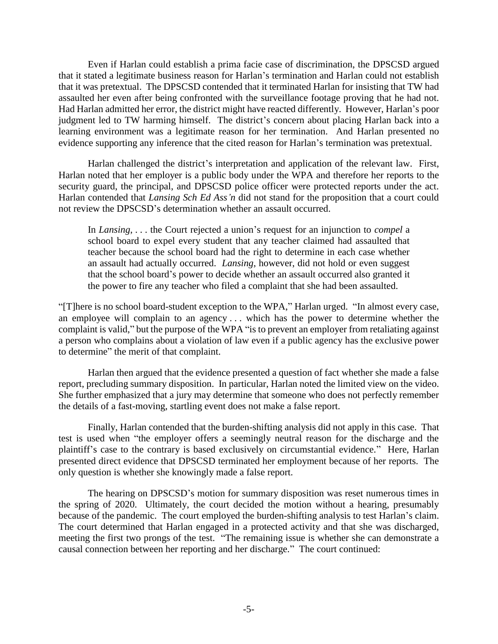Even if Harlan could establish a prima facie case of discrimination, the DPSCSD argued that it stated a legitimate business reason for Harlan's termination and Harlan could not establish that it was pretextual. The DPSCSD contended that it terminated Harlan for insisting that TW had assaulted her even after being confronted with the surveillance footage proving that he had not. Had Harlan admitted her error, the district might have reacted differently. However, Harlan's poor judgment led to TW harming himself. The district's concern about placing Harlan back into a learning environment was a legitimate reason for her termination. And Harlan presented no evidence supporting any inference that the cited reason for Harlan's termination was pretextual.

Harlan challenged the district's interpretation and application of the relevant law. First, Harlan noted that her employer is a public body under the WPA and therefore her reports to the security guard, the principal, and DPSCSD police officer were protected reports under the act. Harlan contended that *Lansing Sch Ed Ass'n* did not stand for the proposition that a court could not review the DPSCSD's determination whether an assault occurred.

In *Lansing*, . . . the Court rejected a union's request for an injunction to *compel* a school board to expel every student that any teacher claimed had assaulted that teacher because the school board had the right to determine in each case whether an assault had actually occurred. *Lansing*, however, did not hold or even suggest that the school board's power to decide whether an assault occurred also granted it the power to fire any teacher who filed a complaint that she had been assaulted.

"[T]here is no school board-student exception to the WPA," Harlan urged. "In almost every case, an employee will complain to an agency . . . which has the power to determine whether the complaint is valid," but the purpose of the WPA "is to prevent an employer from retaliating against a person who complains about a violation of law even if a public agency has the exclusive power to determine" the merit of that complaint.

Harlan then argued that the evidence presented a question of fact whether she made a false report, precluding summary disposition. In particular, Harlan noted the limited view on the video. She further emphasized that a jury may determine that someone who does not perfectly remember the details of a fast-moving, startling event does not make a false report.

Finally, Harlan contended that the burden-shifting analysis did not apply in this case. That test is used when "the employer offers a seemingly neutral reason for the discharge and the plaintiff's case to the contrary is based exclusively on circumstantial evidence." Here, Harlan presented direct evidence that DPSCSD terminated her employment because of her reports. The only question is whether she knowingly made a false report.

The hearing on DPSCSD's motion for summary disposition was reset numerous times in the spring of 2020. Ultimately, the court decided the motion without a hearing, presumably because of the pandemic. The court employed the burden-shifting analysis to test Harlan's claim. The court determined that Harlan engaged in a protected activity and that she was discharged, meeting the first two prongs of the test. "The remaining issue is whether she can demonstrate a causal connection between her reporting and her discharge." The court continued: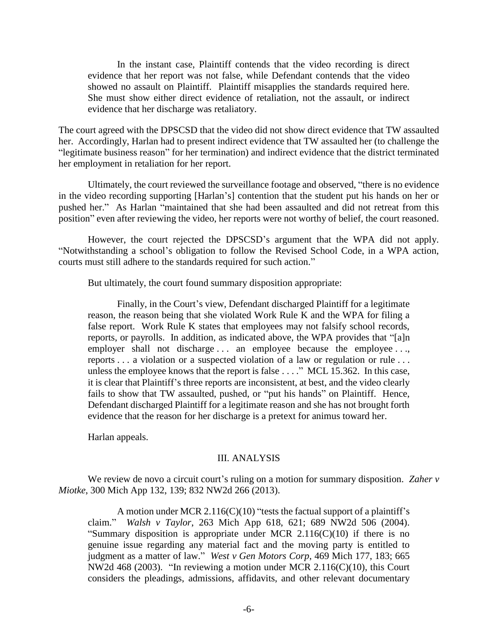In the instant case, Plaintiff contends that the video recording is direct evidence that her report was not false, while Defendant contends that the video showed no assault on Plaintiff. Plaintiff misapplies the standards required here. She must show either direct evidence of retaliation, not the assault, or indirect evidence that her discharge was retaliatory.

The court agreed with the DPSCSD that the video did not show direct evidence that TW assaulted her. Accordingly, Harlan had to present indirect evidence that TW assaulted her (to challenge the "legitimate business reason" for her termination) and indirect evidence that the district terminated her employment in retaliation for her report.

Ultimately, the court reviewed the surveillance footage and observed, "there is no evidence in the video recording supporting [Harlan's] contention that the student put his hands on her or pushed her." As Harlan "maintained that she had been assaulted and did not retreat from this position" even after reviewing the video, her reports were not worthy of belief, the court reasoned.

However, the court rejected the DPSCSD's argument that the WPA did not apply. "Notwithstanding a school's obligation to follow the Revised School Code, in a WPA action, courts must still adhere to the standards required for such action."

But ultimately, the court found summary disposition appropriate:

Finally, in the Court's view, Defendant discharged Plaintiff for a legitimate reason, the reason being that she violated Work Rule K and the WPA for filing a false report. Work Rule K states that employees may not falsify school records, reports, or payrolls. In addition, as indicated above, the WPA provides that "[a]n employer shall not discharge ... an employee because the employee ..., reports . . . a violation or a suspected violation of a law or regulation or rule . . . unless the employee knows that the report is false . . . ." MCL 15.362. In this case, it is clear that Plaintiff's three reports are inconsistent, at best, and the video clearly fails to show that TW assaulted, pushed, or "put his hands" on Plaintiff. Hence, Defendant discharged Plaintiff for a legitimate reason and she has not brought forth evidence that the reason for her discharge is a pretext for animus toward her.

Harlan appeals.

#### III. ANALYSIS

We review de novo a circuit court's ruling on a motion for summary disposition. *Zaher v Miotke*, 300 Mich App 132, 139; 832 NW2d 266 (2013).

A motion under MCR 2.116(C)(10) "tests the factual support of a plaintiff's claim." *Walsh v Taylor*, 263 Mich App 618, 621; 689 NW2d 506 (2004). "Summary disposition is appropriate under MCR  $2.116(C)(10)$  if there is no genuine issue regarding any material fact and the moving party is entitled to judgment as a matter of law." *West v Gen Motors Corp*, 469 Mich 177, 183; 665 NW2d 468 (2003). "In reviewing a motion under MCR 2.116(C)(10), this Court considers the pleadings, admissions, affidavits, and other relevant documentary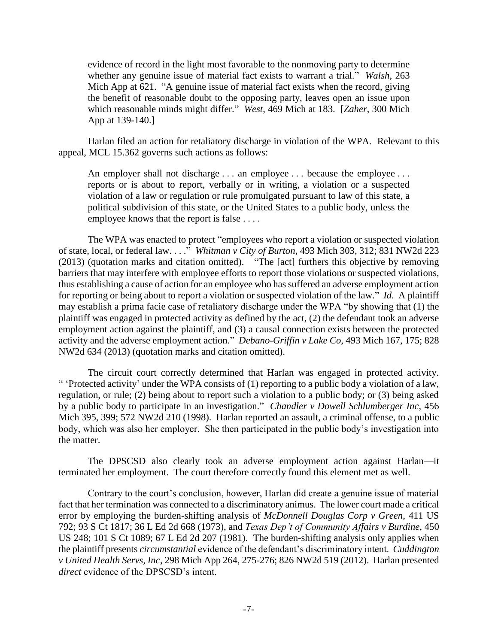evidence of record in the light most favorable to the nonmoving party to determine whether any genuine issue of material fact exists to warrant a trial." *Walsh*, 263 Mich App at 621. "A genuine issue of material fact exists when the record, giving the benefit of reasonable doubt to the opposing party, leaves open an issue upon which reasonable minds might differ." *West*, 469 Mich at 183. [*Zaher*, 300 Mich App at 139-140.]

Harlan filed an action for retaliatory discharge in violation of the WPA. Relevant to this appeal, MCL 15.362 governs such actions as follows:

An employer shall not discharge . . . an employee . . . because the employee . . . reports or is about to report, verbally or in writing, a violation or a suspected violation of a law or regulation or rule promulgated pursuant to law of this state, a political subdivision of this state, or the United States to a public body, unless the employee knows that the report is false . . . .

The WPA was enacted to protect "employees who report a violation or suspected violation of state, local, or federal law. . . ." *Whitman v City of Burton*, 493 Mich 303, 312; 831 NW2d 223 (2013) (quotation marks and citation omitted). "The [act] furthers this objective by removing barriers that may interfere with employee efforts to report those violations or suspected violations, thus establishing a cause of action for an employee who has suffered an adverse employment action for reporting or being about to report a violation or suspected violation of the law." *Id*. A plaintiff may establish a prima facie case of retaliatory discharge under the WPA "by showing that (1) the plaintiff was engaged in protected activity as defined by the act, (2) the defendant took an adverse employment action against the plaintiff, and (3) a causal connection exists between the protected activity and the adverse employment action." *Debano-Griffin v Lake Co*, 493 Mich 167, 175; 828 NW2d 634 (2013) (quotation marks and citation omitted).

The circuit court correctly determined that Harlan was engaged in protected activity. " 'Protected activity' under the WPA consists of (1) reporting to a public body a violation of a law, regulation, or rule; (2) being about to report such a violation to a public body; or (3) being asked by a public body to participate in an investigation." *Chandler v Dowell Schlumberger Inc*, 456 Mich 395, 399; 572 NW2d 210 (1998). Harlan reported an assault, a criminal offense, to a public body, which was also her employer. She then participated in the public body's investigation into the matter.

The DPSCSD also clearly took an adverse employment action against Harlan—it terminated her employment. The court therefore correctly found this element met as well.

Contrary to the court's conclusion, however, Harlan did create a genuine issue of material fact that her termination was connected to a discriminatory animus. The lower court made a critical error by employing the burden-shifting analysis of *McDonnell Douglas Corp v Green*, 411 US 792; 93 S Ct 1817; 36 L Ed 2d 668 (1973), and *Texas Dep't of Community Affairs v Burdine*, 450 US 248; 101 S Ct 1089; 67 L Ed 2d 207 (1981). The burden-shifting analysis only applies when the plaintiff presents *circumstantial* evidence of the defendant's discriminatory intent. *Cuddington v United Health Servs, Inc*, 298 Mich App 264, 275-276; 826 NW2d 519 (2012). Harlan presented *direct* evidence of the DPSCSD's intent.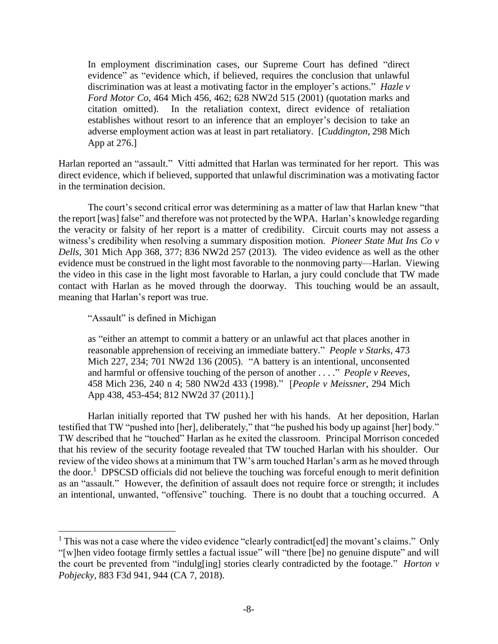In employment discrimination cases, our Supreme Court has defined "direct evidence" as "evidence which, if believed, requires the conclusion that unlawful discrimination was at least a motivating factor in the employer's actions." *Hazle v Ford Motor Co*, 464 Mich 456, 462; 628 NW2d 515 (2001) (quotation marks and citation omitted). In the retaliation context, direct evidence of retaliation establishes without resort to an inference that an employer's decision to take an adverse employment action was at least in part retaliatory. [*Cuddington*, 298 Mich App at 276.]

Harlan reported an "assault." Vitti admitted that Harlan was terminated for her report. This was direct evidence, which if believed, supported that unlawful discrimination was a motivating factor in the termination decision.

The court's second critical error was determining as a matter of law that Harlan knew "that the report [was] false" and therefore was not protected by the WPA. Harlan's knowledge regarding the veracity or falsity of her report is a matter of credibility. Circuit courts may not assess a witness's credibility when resolving a summary disposition motion. *Pioneer State Mut Ins Co v Dells*, 301 Mich App 368, 377; 836 NW2d 257 (2013). The video evidence as well as the other evidence must be construed in the light most favorable to the nonmoving party—Harlan. Viewing the video in this case in the light most favorable to Harlan, a jury could conclude that TW made contact with Harlan as he moved through the doorway. This touching would be an assault, meaning that Harlan's report was true.

"Assault" is defined in Michigan

 $\overline{a}$ 

as "either an attempt to commit a battery or an unlawful act that places another in reasonable apprehension of receiving an immediate battery." *People v Starks*, 473 Mich 227, 234; 701 NW2d 136 (2005). "A battery is an intentional, unconsented and harmful or offensive touching of the person of another . . . ." *People v Reeves*, 458 Mich 236, 240 n 4; 580 NW2d 433 (1998)." [*People v Meissner*, 294 Mich App 438, 453-454; 812 NW2d 37 (2011).]

Harlan initially reported that TW pushed her with his hands. At her deposition, Harlan testified that TW "pushed into [her], deliberately," that "he pushed his body up against [her] body." TW described that he "touched" Harlan as he exited the classroom. Principal Morrison conceded that his review of the security footage revealed that TW touched Harlan with his shoulder. Our review of the video shows at a minimum that TW's arm touched Harlan's arm as he moved through the door.<sup>1</sup> DPSCSD officials did not believe the touching was forceful enough to merit definition as an "assault." However, the definition of assault does not require force or strength; it includes an intentional, unwanted, "offensive" touching. There is no doubt that a touching occurred. A

<sup>&</sup>lt;sup>1</sup> This was not a case where the video evidence "clearly contradict [ed] the movant's claims." Only "[w]hen video footage firmly settles a factual issue" will "there [be] no genuine dispute" and will the court be prevented from "indulg[ing] stories clearly contradicted by the footage." *Horton v Pobjecky*, 883 F3d 941, 944 (CA 7, 2018).